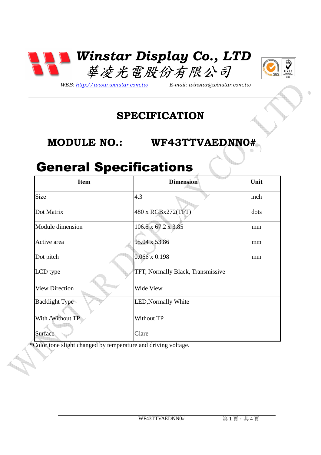



*WEB: http://www.winstar.com.tw E-mail: winstar@winstar.com.tw*

### **SPECIFICATION**

**MODULE NO.: WF43TTVAEDNN0#** 

### General Specifications

| <b>Item</b>           | <b>Dimension</b>                  | Unit |
|-----------------------|-----------------------------------|------|
| Size                  | 4.3                               | inch |
| Dot Matrix            | 480 x RGBx272(TFT)                | dots |
| Module dimension      | 106.5 x 67.2 x 3.85               | mm   |
| Active area           | 95.04 x 53.86                     | mm   |
| Dot pitch             | $0.066 \times 0.198$              | mm   |
| LCD type              | TFT, Normally Black, Transmissive |      |
| <b>View Direction</b> | Wide View                         |      |
| <b>Backlight Type</b> | <b>LED, Normally White</b>        |      |
| With / Without TP     | Without TP                        |      |
| Surface               | Glare                             |      |

\*Color tone slight changed by temperature and driving voltage.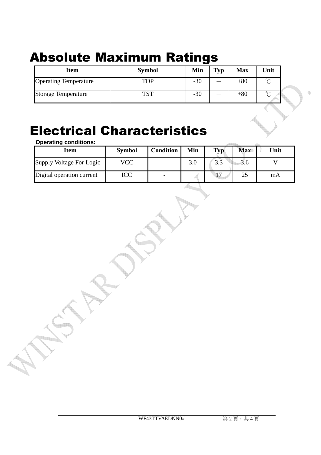## Absolute Maximum Ratings

| <b>Item</b>                  | <b>Symbol</b> | Min   | <b>Typ</b>        | <b>Max</b> | Unit        |  |
|------------------------------|---------------|-------|-------------------|------------|-------------|--|
| <b>Operating Temperature</b> | <b>TOP</b>    | $-30$ |                   | $+80$      | $\sim$<br>◡ |  |
| <b>Storage Temperature</b>   | TST           | $-30$ | <b>STATISTICS</b> | $+80$      | $\sim$<br>◡ |  |

#### Electrical Characteristics **Operating conditions:**

| Operating conditions.     |               |                  |     |     |            |      |
|---------------------------|---------------|------------------|-----|-----|------------|------|
| <b>Item</b>               | <b>Symbol</b> | <b>Condition</b> | Min | Typ | <b>Max</b> | Unit |
| Supply Voltage For Logic  | VCC           |                  | 3.0 | 3.3 | 3.6        |      |
| Digital operation current | ICC           |                  |     |     | 25         | mA   |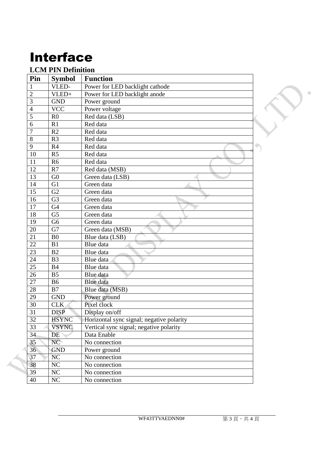# Interface

#### **LCM PIN Definition**

| Pin             | <b>Symbol</b>  | <b>Function</b>                           |  |
|-----------------|----------------|-------------------------------------------|--|
| $\mathbf{1}$    | VLED-          | Power for LED backlight cathode           |  |
| $\overline{2}$  | VLED+          | Power for LED backlight anode             |  |
| 3               | <b>GND</b>     | Power ground                              |  |
| $\overline{4}$  | <b>VCC</b>     | Power voltage                             |  |
| 5               | R <sub>0</sub> | Red data (LSB)                            |  |
| 6               | R1             | Red data                                  |  |
| $\overline{7}$  | R2             | Red data                                  |  |
| $\overline{8}$  | R <sub>3</sub> | Red data                                  |  |
| 9               | R4             | Red data                                  |  |
| 10              | R <sub>5</sub> | Red data                                  |  |
| 11              | R <sub>6</sub> | Red data                                  |  |
| 12              | R7             | Red data (MSB)                            |  |
| 13              | G <sub>0</sub> | Green data (LSB)                          |  |
| 14              | G1             | Green data                                |  |
| $\overline{15}$ | G2             | Green data                                |  |
| 16              | G <sub>3</sub> | Green data                                |  |
| 17              | G <sub>4</sub> | Green data                                |  |
| 18              | G <sub>5</sub> | Green data                                |  |
| 19              | G <sub>6</sub> | Green data                                |  |
| 20              | G7             | Green data (MSB)                          |  |
| 21              | B <sub>0</sub> | Blue data (LSB)                           |  |
| 22              | B1             | Blue data                                 |  |
| 23              | B2             | Blue data                                 |  |
| 24              | B <sub>3</sub> | Blue data                                 |  |
| 25              | <b>B4</b>      | Blue data                                 |  |
| 26              | B <sub>5</sub> | Blue data                                 |  |
| 27              | <b>B6</b>      | Blue data                                 |  |
| 28              | B7             | Blue data (MSB)                           |  |
| 29              | <b>GND</b>     | Power ground                              |  |
| 30              | CLK            | Pixel clock                               |  |
| 31              | <b>DISP</b>    | Display on/off                            |  |
| 32              | <b>HSYNC</b>   | Horizontal sync signal; negative polarity |  |
| 33              | <b>VSYNC</b>   | Vertical sync signal; negative polarity   |  |
| 34              | DE             | Data Enable                               |  |
| 35              | NC             | No connection                             |  |
| 36              | <b>GND</b>     | Power ground                              |  |
| 37              | NC             | No connection                             |  |
| 38              | $\rm NC$       | No connection                             |  |
| 39              | $NC$           | No connection                             |  |
| $40\,$          | NC             | No connection                             |  |

 $\qquad \qquad \oplus$